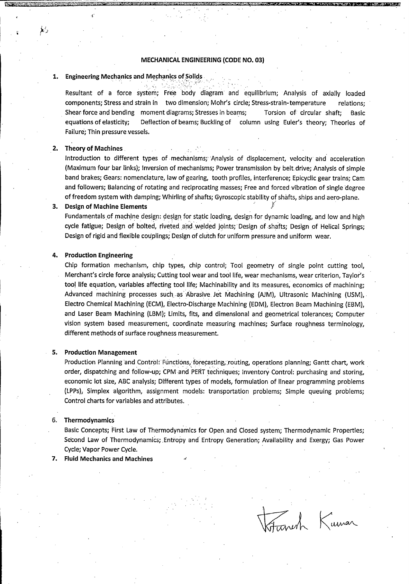# MECHANICAL ENGINEERING (CODE NO. 03)

# 1. Engineering Mechanics and Mechanics of Solids .

Resultant of a force system; Free body diagram and equilibrium; Analysis of axially loaded components; Stress and strain in two dimension; Mohr's circle; Stress-strain-temperature relations; Shear force and bending moment diagrams; Stresses in beams; Torsion of circular shaft; Basic equations of elasticity; Deflection of beams; Buckling of column using Euler's theory; Theories of Failure; Thin pressure vessels.

# 2. Theory of Machines

烧

Introduction to different types of mechanisms; Analysis of displacement, velocity ahd acceleration (Maximum four bar links); Inversion of mechanisms; Power transmission by belt, drive; Analysis of simple band brakes; Gears: nomenclature, law of gearing, tooth profiles. Interference; Eplcycllc gear trains; Cam and followers; Balancing of rotating and reciprocating masses; Free and forced vibration of single degree of freedom system with damping; Whirling of shafts; Gyroscopic stability of shafts, ships and aero-plane.

# 3. Design of Machine Elements

Fundamentals of machine design: design for Static loading, design for dynamic loading, and low and high cycle fatigue; Design of bolted, riveted and welded joints; Design of shafts; Design of Helical Springs; Design of rigid and flexible couplings; Design of clutch for uniform pressure and uniform wear.

## 4. Production Engineering

Chip formation mechanism, chip types, chip control; Tool geometry of single point cutting tool. Merchant's circle force analysis; Cutting tool wear and tool life, wear mechanisms, wear criterion, Taylor's tool life equation, variables affecting tool life; Machinability and its measures, economics of machining; Advanced machining processes such as Abrasive Jet Machining (AJM), Ultrasonic Machining (USM), Electro Chemical Machining (ECM), Electro-Discharge Machining (EDM), Electron Beam Machining (EBM), and Laser Beam Machining (LBM); Limits, fits, and dimensional and geometrical tolerances; Computer vision system based measurement, coordinate measuring machines; Surface roughness terminology, different methods of surface roughness measurement.

### 5. Production Management

Production Planning and Control: Functions, forecasting, routing, operations planning; Gantt chart, work order, dispatching and follow-up; CPM and PERT techniques; Inventory Control: purchasing and storing, economic lot size, ABC analysis; Different types of models, formulation of linear programming problems (LPPs)> Simplex algorithm, assignment models: transportation problems; Simple queuing problems; Control charts for variables and attributes.

### 6. Thermodynamics

Basic Concepts; First Law of Thermodynamics for Open, and Closed system; Thermodynamic Properties; Second Law of Thermodynamics; Entropy and Entropy Generation; Availability and Exergy; Gas Power Cycle; Vapor Power Cycle.

7. Fluid Mechanics and Machines

Inerh Kumar